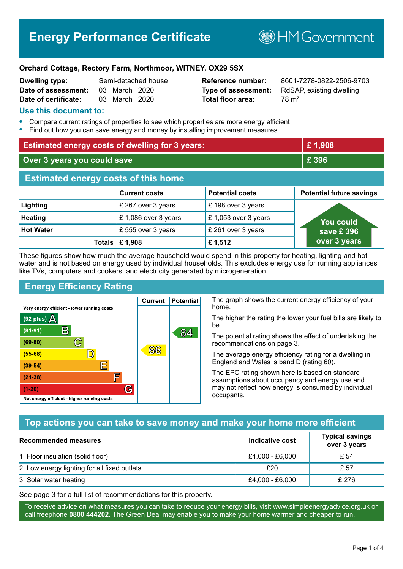# **Energy Performance Certificate**

**B**HM Government

#### **Orchard Cottage, Rectory Farm, Northmoor, WITNEY, OX29 5SX**

| <b>Dwelling type:</b> |               | Semi-detached house |
|-----------------------|---------------|---------------------|
| Date of assessment:   | 03 March 2020 |                     |
| Date of certificate:  | 03 March 2020 |                     |

# **Total floor area:** 78 m<sup>2</sup>

**Reference number:** 8601-7278-0822-2506-9703 **Type of assessment:** RdSAP, existing dwelling

#### **Use this document to:**

- **•** Compare current ratings of properties to see which properties are more energy efficient
- **•** Find out how you can save energy and money by installing improvement measures

| <b>Estimated energy costs of dwelling for 3 years:</b> |                           |                        | £1,908                          |
|--------------------------------------------------------|---------------------------|------------------------|---------------------------------|
| Over 3 years you could save                            |                           |                        | £ 396                           |
| <b>Estimated energy costs of this home</b>             |                           |                        |                                 |
|                                                        | <b>Current costs</b>      | <b>Potential costs</b> | <b>Potential future savings</b> |
| Lighting                                               | £ 267 over 3 years        | £198 over 3 years      |                                 |
| <b>Heating</b>                                         | £1,086 over 3 years       | £1,053 over 3 years    | <b>You could</b>                |
| <b>Hot Water</b>                                       | £555 over 3 years         | £ 261 over 3 years     | save £396                       |
|                                                        | Totals $\mathsf{E}$ 1,908 | £1,512                 | over 3 years                    |

These figures show how much the average household would spend in this property for heating, lighting and hot water and is not based on energy used by individual households. This excludes energy use for running appliances like TVs, computers and cookers, and electricity generated by microgeneration.

**Current | Potential** 

 $(6)$ ගි

## **Energy Efficiency Rating**

 $\mathbb{C}$ 

 $\mathbb{D}$ 

E

F

G

Very energy efficient - lower running costs

 $\mathsf{R}% _{T}$ 

Not energy efficient - higher running costs

 $(92$  plus)

 $(81 - 91)$ 

 $(69 - 80)$ 

 $(55-68)$ 

 $(39 - 54)$  $(21-38)$ 

 $(1-20)$ 

- 70

The graph shows the current energy efficiency of your home.

The higher the rating the lower your fuel bills are likely to be.

The potential rating shows the effect of undertaking the recommendations on page 3.

The average energy efficiency rating for a dwelling in England and Wales is band D (rating 60).

The EPC rating shown here is based on standard assumptions about occupancy and energy use and may not reflect how energy is consumed by individual occupants.

#### **Top actions you can take to save money and make your home more efficient**

84

| Recommended measures                        | Indicative cost | <b>Typical savings</b><br>over 3 years |
|---------------------------------------------|-----------------|----------------------------------------|
| 1 Floor insulation (solid floor)            | £4,000 - £6,000 | £ 54                                   |
| 2 Low energy lighting for all fixed outlets | £20             | £ 57                                   |
| 3 Solar water heating                       | £4,000 - £6,000 | £ 276                                  |

See page 3 for a full list of recommendations for this property.

To receive advice on what measures you can take to reduce your energy bills, visit www.simpleenergyadvice.org.uk or call freephone **0800 444202**. The Green Deal may enable you to make your home warmer and cheaper to run.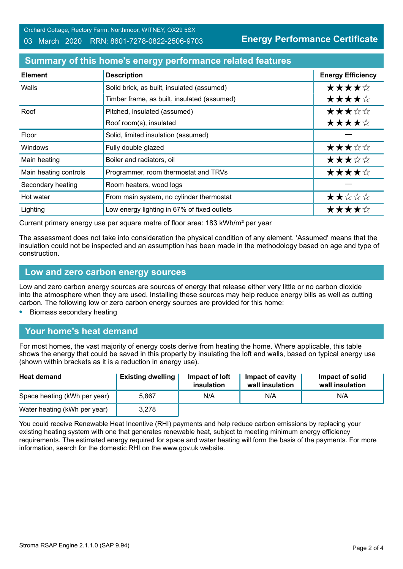Orchard Cottage, Rectory Farm, Northmoor, WITNEY, OX29 5SX 03 March 2020 RRN: 8601-7278-0822-2506-9703

**Energy Performance Certificate**

## **Summary of this home's energy performance related features**

| <b>Element</b>        | <b>Description</b>                          | <b>Energy Efficiency</b> |
|-----------------------|---------------------------------------------|--------------------------|
| Walls                 | Solid brick, as built, insulated (assumed)  | ★★★★☆                    |
|                       | Timber frame, as built, insulated (assumed) | ★★★★☆                    |
| Roof                  | Pitched, insulated (assumed)                | ★★★☆☆                    |
|                       | Roof room(s), insulated                     | ★★★★☆                    |
| Floor                 | Solid, limited insulation (assumed)         |                          |
| <b>Windows</b>        | Fully double glazed                         | ★★★☆☆                    |
| Main heating          | Boiler and radiators, oil                   | ★★★☆☆                    |
| Main heating controls | Programmer, room thermostat and TRVs        | ★★★★☆                    |
| Secondary heating     | Room heaters, wood logs                     |                          |
| Hot water             | From main system, no cylinder thermostat    | ★★☆☆☆                    |
| Lighting              | Low energy lighting in 67% of fixed outlets | ★★★★☆                    |

Current primary energy use per square metre of floor area: 183 kWh/m² per year

The assessment does not take into consideration the physical condition of any element. 'Assumed' means that the insulation could not be inspected and an assumption has been made in the methodology based on age and type of construction.

#### **Low and zero carbon energy sources**

Low and zero carbon energy sources are sources of energy that release either very little or no carbon dioxide into the atmosphere when they are used. Installing these sources may help reduce energy bills as well as cutting carbon. The following low or zero carbon energy sources are provided for this home:

**•** Biomass secondary heating

#### **Your home's heat demand**

For most homes, the vast majority of energy costs derive from heating the home. Where applicable, this table shows the energy that could be saved in this property by insulating the loft and walls, based on typical energy use (shown within brackets as it is a reduction in energy use).

| <b>Heat demand</b>           | <b>Existing dwelling</b> | Impact of loft<br>insulation | <b>Impact of cavity</b><br>wall insulation | Impact of solid<br>wall insulation |
|------------------------------|--------------------------|------------------------------|--------------------------------------------|------------------------------------|
| Space heating (kWh per year) | 5.867                    | N/A                          | N/A                                        | N/A                                |
| Water heating (kWh per year) | 3,278                    |                              |                                            |                                    |

You could receive Renewable Heat Incentive (RHI) payments and help reduce carbon emissions by replacing your existing heating system with one that generates renewable heat, subject to meeting minimum energy efficiency requirements. The estimated energy required for space and water heating will form the basis of the payments. For more information, search for the domestic RHI on the www.gov.uk website.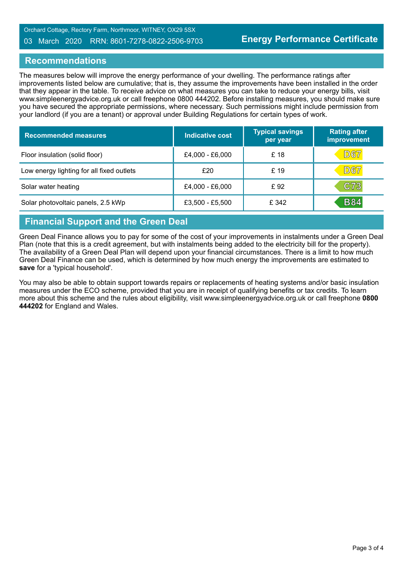#### 03 March 2020 RRN: 8601-7278-0822-2506-9703

#### **Recommendations**

The measures below will improve the energy performance of your dwelling. The performance ratings after improvements listed below are cumulative; that is, they assume the improvements have been installed in the order that they appear in the table. To receive advice on what measures you can take to reduce your energy bills, visit www.simpleenergyadvice.org.uk or call freephone 0800 444202. Before installing measures, you should make sure you have secured the appropriate permissions, where necessary. Such permissions might include permission from your landlord (if you are a tenant) or approval under Building Regulations for certain types of work.

| <b>Recommended measures</b>               | Indicative cost | <b>Typical savings</b><br>per year | <b>Rating after</b><br>improvement |
|-------------------------------------------|-----------------|------------------------------------|------------------------------------|
| Floor insulation (solid floor)            | £4,000 - £6,000 | £ 18                               | D67                                |
| Low energy lighting for all fixed outlets | £20             | £ 19                               | <b>D67</b>                         |
| Solar water heating                       | £4,000 - £6,000 | £92                                | C73                                |
| Solar photovoltaic panels, 2.5 kWp        | £3,500 - £5,500 | £ 342                              | <b>B84</b>                         |

# **Financial Support and the Green Deal**

Green Deal Finance allows you to pay for some of the cost of your improvements in instalments under a Green Deal Plan (note that this is a credit agreement, but with instalments being added to the electricity bill for the property). The availability of a Green Deal Plan will depend upon your financial circumstances. There is a limit to how much Green Deal Finance can be used, which is determined by how much energy the improvements are estimated to **save** for a 'typical household'.

You may also be able to obtain support towards repairs or replacements of heating systems and/or basic insulation measures under the ECO scheme, provided that you are in receipt of qualifying benefits or tax credits. To learn more about this scheme and the rules about eligibility, visit www.simpleenergyadvice.org.uk or call freephone **0800 444202** for England and Wales.